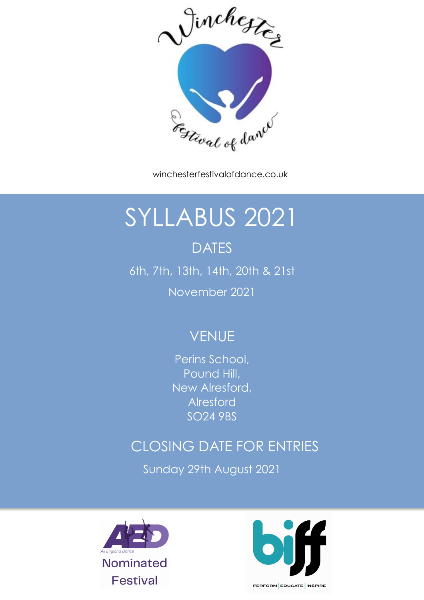

winchesterfestivalofdance.co.uk

# SYLLABUS 2021

### **DATES**

6th, 7th, 13th, 14th, 20th & 21st November 2021

### VENUE

Perins School, Pound Hill, New Alresford, Alresford SO24 9BS

### CLOSING DATE FOR ENTRIES

Sunday 29th August 2021



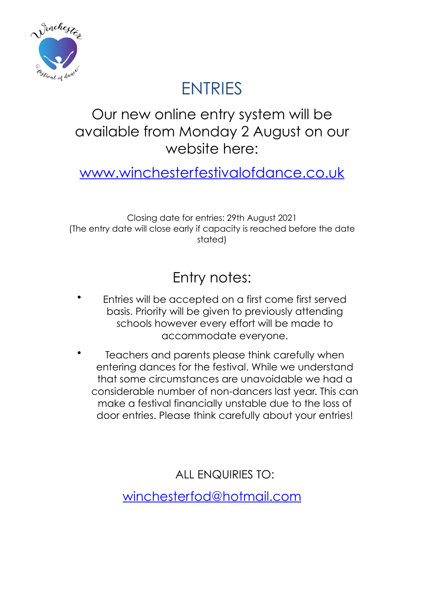

# ENTRIES

### Our new online entry system will be available from Monday 2 August on our website here:

### [www.winchesterfestivalofdance.co.uk](http://www.winchesterfestivalofdance.co.uk)

Closing date for entries: 29th August 2021 (The entry date will close early if capacity is reached before the date stated)

### Entry notes:

- Entries will be accepted on a first come first served basis. Priority will be given to previously attending schools however every effort will be made to accommodate everyone.
- Teachers and parents please think carefully when entering dances for the festival. While we understand that some circumstances are unavoidable we had a considerable number of non-dancers last year. This can make a festival financially unstable due to the loss of door entries. Please think carefully about your entries!

ALL ENQUIRIES TO:

[winchesterfod@hotmail.com](mailto:winchesterfod@hotmail.com)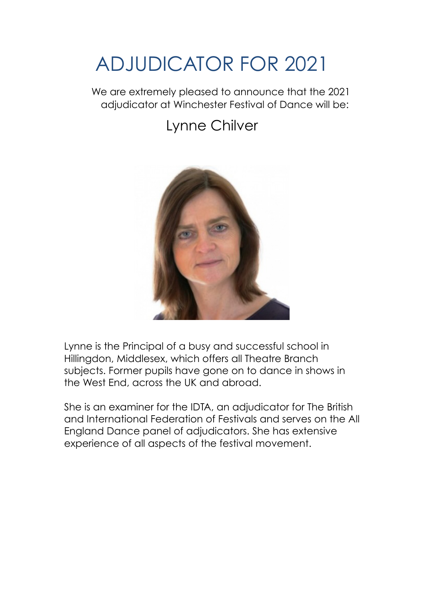# ADJUDICATOR FOR 2021

 We are extremely pleased to announce that the 2021 adjudicator at Winchester Festival of Dance will be:

### Lynne Chilver



Lynne is the Principal of a busy and successful school in Hillingdon, Middlesex, which offers all Theatre Branch subjects. Former pupils have gone on to dance in shows in the West End, across the UK and abroad.

She is an examiner for the IDTA, an adjudicator for The British and International Federation of Festivals and serves on the All England Dance panel of adjudicators. She has extensive experience of all aspects of the festival movement.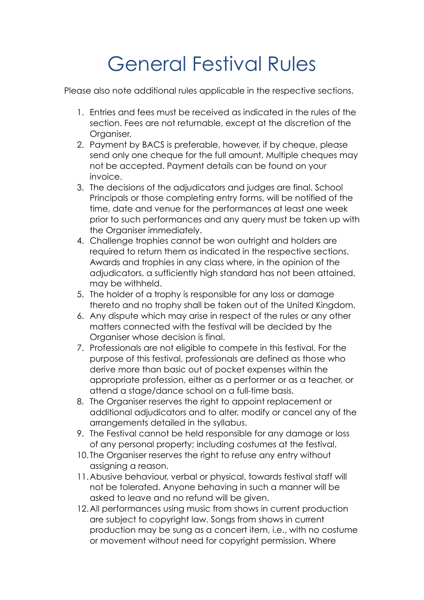# General Festival Rules

Please also note additional rules applicable in the respective sections.

- 1. Entries and fees must be received as indicated in the rules of the section. Fees are not returnable, except at the discretion of the Organiser.
- 2. Payment by BACS is preferable, however, if by cheque, please send only one cheque for the full amount. Multiple cheques may not be accepted. Payment details can be found on your invoice.
- 3. The decisions of the adjudicators and judges are final. School Principals or those completing entry forms, will be notified of the time, date and venue for the performances at least one week prior to such performances and any query must be taken up with the Organiser immediately.
- 4. Challenge trophies cannot be won outright and holders are required to return them as indicated in the respective sections. Awards and trophies in any class where, in the opinion of the adjudicators, a sufficiently high standard has not been attained, may be withheld.
- 5. The holder of a trophy is responsible for any loss or damage thereto and no trophy shall be taken out of the United Kingdom.
- 6. Any dispute which may arise in respect of the rules or any other matters connected with the festival will be decided by the Organiser whose decision is final.
- 7. Professionals are not eligible to compete in this festival. For the purpose of this festival, professionals are defined as those who derive more than basic out of pocket expenses within the appropriate profession, either as a performer or as a teacher, or attend a stage/dance school on a full-time basis.
- 8. The Organiser reserves the right to appoint replacement or additional adjudicators and to alter, modify or cancel any of the arrangements detailed in the syllabus.
- 9. The Festival cannot be held responsible for any damage or loss of any personal property; including costumes at the festival.
- 10. The Organiser reserves the right to refuse any entry without assigning a reason.
- 11.Abusive behaviour, verbal or physical, towards festival staff will not be tolerated. Anyone behaving in such a manner will be asked to leave and no refund will be given.
- 12.All performances using music from shows in current production are subject to copyright law. Songs from shows in current production may be sung as a concert item, i.e., with no costume or movement without need for copyright permission. Where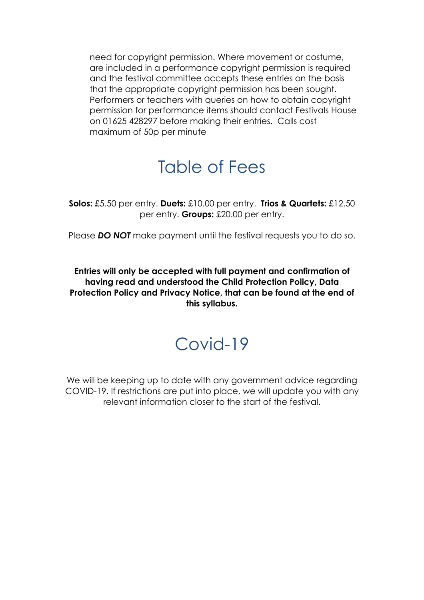need for copyright permission. Where movement or costume, are included in a performance copyright permission is required and the festival committee accepts these entries on the basis that the appropriate copyright permission has been sought. Performers or teachers with queries on how to obtain copyright permission for performance items should contact Festivals House on 01625 428297 before making their entries. Calls cost maximum of 50p per minute

### Table of Fees

**Solos:** £5.50 per entry. **Duets:** £10.00 per entry. **Trios & Quartets:** £12.50 per entry. **Groups:** £20.00 per entry.

Please *DO NOT* make payment until the festival requests you to do so.

**Entries will only be accepted with full payment and confirmation of having read and understood the Child Protection Policy, Data Protection Policy and Privacy Notice, that can be found at the end of this syllabus.**

### Covid-19

We will be keeping up to date with any government advice regarding COVID-19. If restrictions are put into place, we will update you with any relevant information closer to the start of the festival.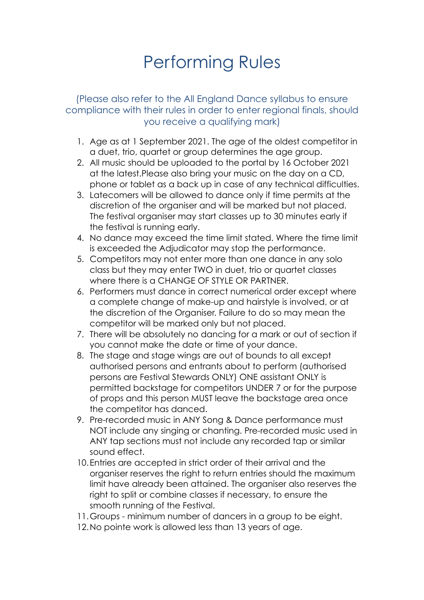# Performing Rules

#### (Please also refer to the All England Dance syllabus to ensure compliance with their rules in order to enter regional finals, should you receive a qualifying mark)

- 1. Age as at 1 September 2021. The age of the oldest competitor in a duet, trio, quartet or group determines the age group.
- 2. All music should be uploaded to the portal by 16 October 2021 at the latest.Please also bring your music on the day on a CD, phone or tablet as a back up in case of any technical difficulties.
- 3. Latecomers will be allowed to dance only if time permits at the discretion of the organiser and will be marked but not placed. The festival organiser may start classes up to 30 minutes early if the festival is running early.
- 4. No dance may exceed the time limit stated. Where the time limit is exceeded the Adjudicator may stop the performance.
- 5. Competitors may not enter more than one dance in any solo class but they may enter TWO in duet, trio or quartet classes where there is a CHANGE OF STYLE OR PARTNER.
- 6. Performers must dance in correct numerical order except where a complete change of make-up and hairstyle is involved, or at the discretion of the Organiser. Failure to do so may mean the competitor will be marked only but not placed.
- 7. There will be absolutely no dancing for a mark or out of section if you cannot make the date or time of your dance.
- 8. The stage and stage wings are out of bounds to all except authorised persons and entrants about to perform (authorised persons are Festival Stewards ONLY) ONE assistant ONLY is permitted backstage for competitors UNDER 7 or for the purpose of props and this person MUST leave the backstage area once the competitor has danced.
- 9. Pre-recorded music in ANY Song & Dance performance must NOT include any singing or chanting. Pre-recorded music used in ANY tap sections must not include any recorded tap or similar sound effect.
- 10.Entries are accepted in strict order of their arrival and the organiser reserves the right to return entries should the maximum limit have already been attained. The organiser also reserves the right to split or combine classes if necessary, to ensure the smooth running of the Festival.
- 11.Groups minimum number of dancers in a group to be eight.
- 12.No pointe work is allowed less than 13 years of age.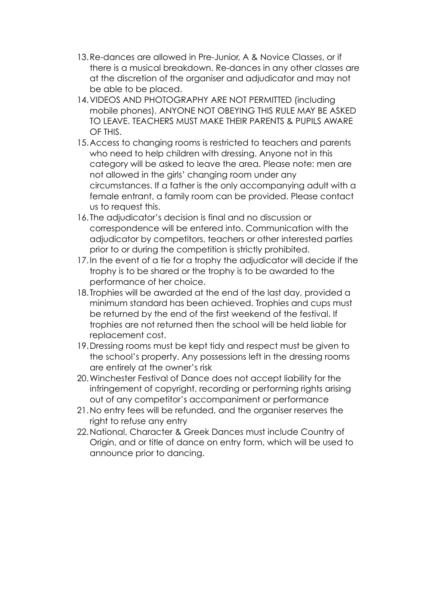- 13.Re-dances are allowed in Pre-Junior, A & Novice Classes, or if there is a musical breakdown. Re-dances in any other classes are at the discretion of the organiser and adjudicator and may not be able to be placed.
- 14.VIDEOS AND PHOTOGRAPHY ARE NOT PERMITTED (including mobile phones). ANYONE NOT OBEYING THIS RULE MAY BE ASKED TO LEAVE. TEACHERS MUST MAKE THEIR PARENTS & PUPILS AWARE OF THIS.
- 15.Access to changing rooms is restricted to teachers and parents who need to help children with dressing. Anyone not in this category will be asked to leave the area. Please note: men are not allowed in the girls' changing room under any circumstances. If a father is the only accompanying adult with a female entrant, a family room can be provided. Please contact us to request this.
- 16. The adjudicator's decision is final and no discussion or correspondence will be entered into. Communication with the adjudicator by competitors, teachers or other interested parties prior to or during the competition is strictly prohibited.
- 17.In the event of a tie for a trophy the adjudicator will decide if the trophy is to be shared or the trophy is to be awarded to the performance of her choice.
- 18. Trophies will be awarded at the end of the last day, provided a minimum standard has been achieved. Trophies and cups must be returned by the end of the first weekend of the festival. If trophies are not returned then the school will be held liable for replacement cost.
- 19.Dressing rooms must be kept tidy and respect must be given to the school's property. Any possessions left in the dressing rooms are entirely at the owner's risk
- 20.Winchester Festival of Dance does not accept liability for the infringement of copyright, recording or performing rights arising out of any competitor's accompaniment or performance
- 21.No entry fees will be refunded, and the organiser reserves the right to refuse any entry
- 22.National, Character & Greek Dances must include Country of Origin, and or title of dance on entry form, which will be used to announce prior to dancing.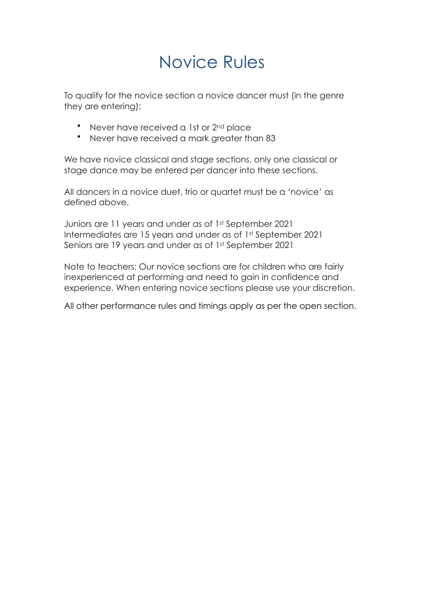### Novice Rules

To qualify for the novice section a novice dancer must (in the genre they are entering):

- Never have received a 1st or 2nd place
- Never have received a mark greater than 83

We have novice classical and stage sections, only one classical or stage dance may be entered per dancer into these sections.

All dancers in a novice duet, trio or quartet must be a 'novice' as defined above.

Juniors are 11 years and under as of 1st September 2021 Intermediates are 15 years and under as of 1st September 2021 Seniors are 19 years and under as of 1st September 2021

Note to teachers: Our novice sections are for children who are fairly inexperienced at performing and need to gain in confidence and experience. When entering novice sections please use your discretion.

All other performance rules and timings apply as per the open section.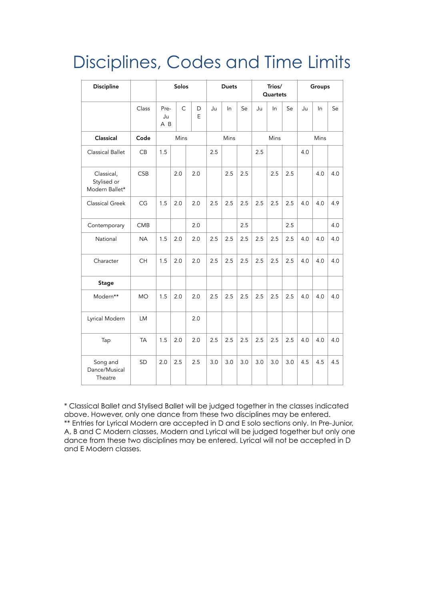# Disciplines, Codes and Time Limits

| <b>Discipline</b>                           |            | Solos             |              |        | <b>Duets</b> |      |     | Trios/<br>Quartets |      |     | Groups |     |     |
|---------------------------------------------|------------|-------------------|--------------|--------|--------------|------|-----|--------------------|------|-----|--------|-----|-----|
|                                             | Class      | Pre-<br>Ju<br>A B | $\mathsf{C}$ | D<br>E | Ju           | ln.  | Se  | Ju                 | In   | Se  | Ju     | In. | Se  |
| Classical                                   | Code       | Mins              |              | Mins   |              | Mins |     |                    | Mins |     |        |     |     |
| <b>Classical Ballet</b>                     | CB         | 1.5               |              |        | 2.5          |      |     | 2.5                |      |     | 4.0    |     |     |
| Classical,<br>Stylised or<br>Modern Ballet* | CSB        |                   | 2.0          | 2.0    |              | 2.5  | 2.5 |                    | 2.5  | 2.5 |        | 4.0 | 4.0 |
| <b>Classical Greek</b>                      | CG         | 1.5               | 2.0          | 2.0    | 2.5          | 2.5  | 2.5 | 2.5                | 2.5  | 2.5 | 4.0    | 4.0 | 4.9 |
| Contemporary                                | <b>CMB</b> |                   |              | 2.0    |              |      | 2.5 |                    |      | 2.5 |        |     | 4.0 |
| National                                    | <b>NA</b>  | 1.5               | 2.0          | 2.0    | 2.5          | 2.5  | 2.5 | 2.5                | 2.5  | 2.5 | 4.0    | 4.0 | 4.0 |
| Character                                   | <b>CH</b>  | 1.5               | 2.0          | 2.0    | 2.5          | 2.5  | 2.5 | 2.5                | 2.5  | 2.5 | 4.0    | 4.0 | 4.0 |
| Stage                                       |            |                   |              |        |              |      |     |                    |      |     |        |     |     |
| Modern**                                    | <b>MO</b>  | 1.5               | 2.0          | 2.0    | 2.5          | 2.5  | 2.5 | 2.5                | 2.5  | 2.5 | 4.0    | 4.0 | 4.0 |
| Lyrical Modern                              | LM         |                   |              | 2.0    |              |      |     |                    |      |     |        |     |     |
| Tap                                         | <b>TA</b>  | 1.5               | 2.0          | 2.0    | 2.5          | 2.5  | 2.5 | 2.5                | 2.5  | 2.5 | 4.0    | 4.0 | 4.0 |
| Song and<br>Dance/Musical<br>Theatre        | <b>SD</b>  | 2.0               | 2.5          | 2.5    | 3.0          | 3.0  | 3.0 | 3.0                | 3.0  | 3.0 | 4.5    | 4.5 | 4.5 |

\* Classical Ballet and Stylised Ballet will be judged together in the classes indicated above. However, only one dance from these two disciplines may be entered. \*\* Entries for Lyrical Modern are accepted in D and E solo sections only. In Pre-Junior, A, B and C Modern classes, Modern and Lyrical will be judged together but only one dance from these two disciplines may be entered. Lyrical will not be accepted in D and E Modern classes.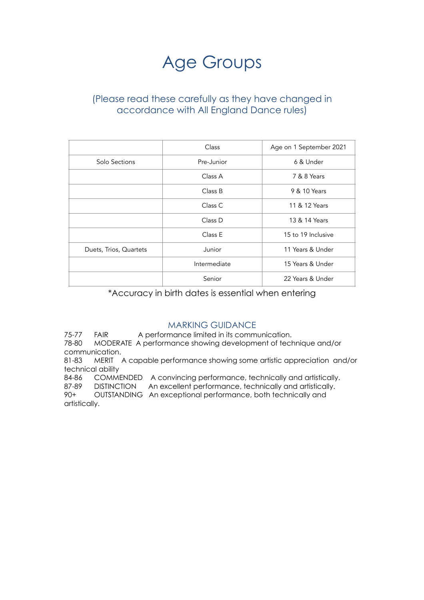### Age Groups

#### (Please read these carefully as they have changed in accordance with All England Dance rules)

|                        | Class        | Age on 1 September 2021 |
|------------------------|--------------|-------------------------|
| Solo Sections          | Pre-Junior   | 6 & Under               |
|                        | Class A      | 7 & 8 Years             |
|                        | Class B      | 9 & 10 Years            |
|                        | Class C      | 11 & 12 Years           |
|                        | Class D      | 13 & 14 Years           |
|                        | Class E      | 15 to 19 Inclusive      |
| Duets, Trios, Quartets | Junior       | 11 Years & Under        |
|                        | Intermediate | 15 Years & Under        |
|                        | Senior       | 22 Years & Under        |

\*Accuracy in birth dates is essential when entering

#### MARKING GUIDANCE

75-77 FAIR A performance limited in its communication.

78-80 MODERATE A performance showing development of technique and/or communication.

81-83 MERIT A capable performance showing some artistic appreciation and/or technical ability

84-86 COMMENDED A convincing performance, technically and artistically.

87-89 DISTINCTION An excellent performance, technically and artistically.<br>90+ OUTSTANDING An exceptional performance both technically and

90+ OUTSTANDING An exceptional performance, both technically and artistically.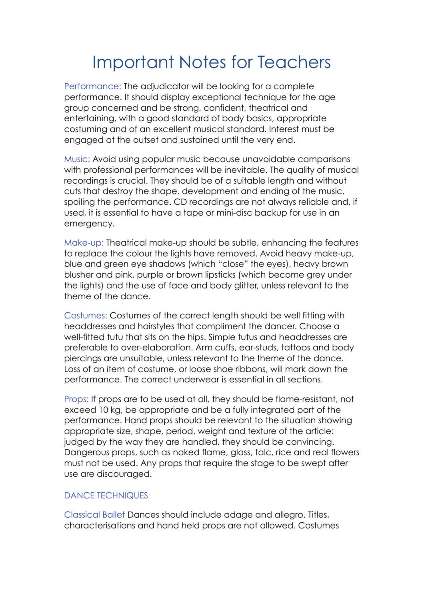# Important Notes for Teachers

Performance: The adjudicator will be looking for a complete performance. It should display exceptional technique for the age group concerned and be strong, confident, theatrical and entertaining, with a good standard of body basics, appropriate costuming and of an excellent musical standard. Interest must be engaged at the outset and sustained until the very end.

Music: Avoid using popular music because unavoidable comparisons with professional performances will be inevitable. The quality of musical recordings is crucial. They should be of a suitable length and without cuts that destroy the shape, development and ending of the music, spoiling the performance. CD recordings are not always reliable and, if used, it is essential to have a tape or mini-disc backup for use in an emergency.

Make-up: Theatrical make-up should be subtle, enhancing the features to replace the colour the lights have removed. Avoid heavy make-up, blue and green eye shadows (which "close" the eyes), heavy brown blusher and pink, purple or brown lipsticks (which become grey under the lights) and the use of face and body glitter, unless relevant to the theme of the dance.

Costumes: Costumes of the correct length should be well fitting with headdresses and hairstyles that compliment the dancer. Choose a well-fitted tutu that sits on the hips. Simple tutus and headdresses are preferable to over-elaboration. Arm cuffs, ear-studs, tattoos and body piercings are unsuitable, unless relevant to the theme of the dance. Loss of an item of costume, or loose shoe ribbons, will mark down the performance. The correct underwear is essential in all sections.

Props: If props are to be used at all, they should be flame-resistant, not exceed 10 kg, be appropriate and be a fully integrated part of the performance. Hand props should be relevant to the situation showing appropriate size, shape, period, weight and texture of the article: judged by the way they are handled, they should be convincing. Dangerous props, such as naked flame, glass, talc, rice and real flowers must not be used. Any props that require the stage to be swept after use are discouraged.

#### DANCE TECHNIQUES

Classical Ballet Dances should include adage and allegro. Titles, characterisations and hand held props are not allowed. Costumes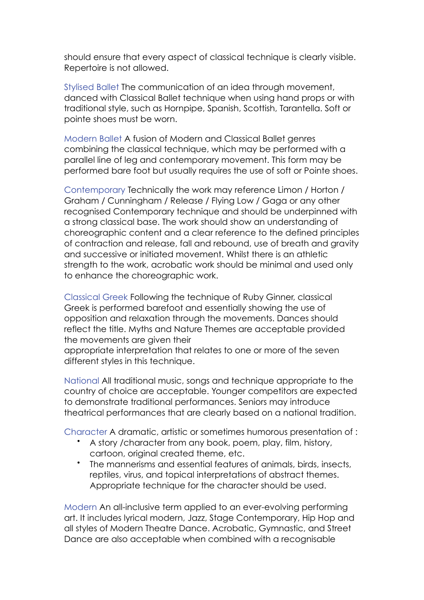should ensure that every aspect of classical technique is clearly visible. Repertoire is not allowed.

Stylised Ballet The communication of an idea through movement, danced with Classical Ballet technique when using hand props or with traditional style, such as Hornpipe, Spanish, Scottish, Tarantella. Soft or pointe shoes must be worn.

Modern Ballet A fusion of Modern and Classical Ballet genres combining the classical technique, which may be performed with a parallel line of leg and contemporary movement. This form may be performed bare foot but usually requires the use of soft or Pointe shoes.

Contemporary Technically the work may reference Limon / Horton / Graham / Cunningham / Release / Flying Low / Gaga or any other recognised Contemporary technique and should be underpinned with a strong classical base. The work should show an understanding of choreographic content and a clear reference to the defined principles of contraction and release, fall and rebound, use of breath and gravity and successive or initiated movement. Whilst there is an athletic strength to the work, acrobatic work should be minimal and used only to enhance the choreographic work.

Classical Greek Following the technique of Ruby Ginner, classical Greek is performed barefoot and essentially showing the use of opposition and relaxation through the movements. Dances should reflect the title. Myths and Nature Themes are acceptable provided the movements are given their

appropriate interpretation that relates to one or more of the seven different styles in this technique.

National All traditional music, songs and technique appropriate to the country of choice are acceptable. Younger competitors are expected to demonstrate traditional performances. Seniors may introduce theatrical performances that are clearly based on a national tradition.

Character A dramatic, artistic or sometimes humorous presentation of :

- A story /character from any book, poem, play, film, history, cartoon, original created theme, etc.
- The mannerisms and essential features of animals, birds, insects, reptiles, virus, and topical interpretations of abstract themes. Appropriate technique for the character should be used.

Modern An all-inclusive term applied to an ever-evolving performing art. It includes lyrical modern, Jazz, Stage Contemporary, Hip Hop and all styles of Modern Theatre Dance. Acrobatic, Gymnastic, and Street Dance are also acceptable when combined with a recognisable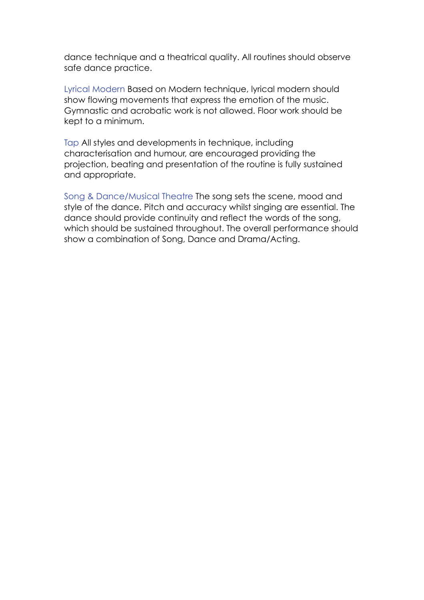dance technique and a theatrical quality. All routines should observe safe dance practice.

Lyrical Modern Based on Modern technique, lyrical modern should show flowing movements that express the emotion of the music. Gymnastic and acrobatic work is not allowed. Floor work should be kept to a minimum.

Tap All styles and developments in technique, including characterisation and humour, are encouraged providing the projection, beating and presentation of the routine is fully sustained and appropriate.

Song & Dance/Musical Theatre The song sets the scene, mood and style of the dance. Pitch and accuracy whilst singing are essential. The dance should provide continuity and reflect the words of the song, which should be sustained throughout. The overall performance should show a combination of Song, Dance and Drama/Acting.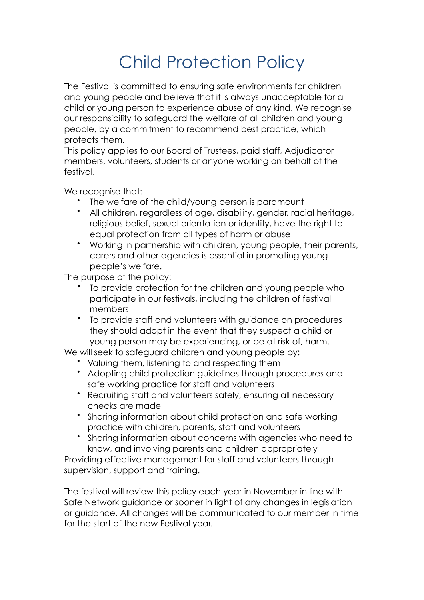# Child Protection Policy

The Festival is committed to ensuring safe environments for children and young people and believe that it is always unacceptable for a child or young person to experience abuse of any kind. We recognise our responsibility to safeguard the welfare of all children and young people, by a commitment to recommend best practice, which protects them.

This policy applies to our Board of Trustees, paid staff, Adjudicator members, volunteers, students or anyone working on behalf of the festival.

We recognise that:

- The welfare of the child/young person is paramount
- All children, regardless of age, disability, gender, racial heritage, religious belief, sexual orientation or identity, have the right to equal protection from all types of harm or abuse
- Working in partnership with children, young people, their parents, carers and other agencies is essential in promoting young people's welfare.

The purpose of the policy:

- To provide protection for the children and young people who participate in our festivals, including the children of festival members
- To provide staff and volunteers with guidance on procedures they should adopt in the event that they suspect a child or young person may be experiencing, or be at risk of, harm.

We will seek to safeguard children and young people by:

- Valuing them, listening to and respecting them
- Adopting child protection guidelines through procedures and safe working practice for staff and volunteers
- Recruiting staff and volunteers safely, ensuring all necessary checks are made
- Sharing information about child protection and safe working practice with children, parents, staff and volunteers
- Sharing information about concerns with agencies who need to know, and involving parents and children appropriately

Providing effective management for staff and volunteers through supervision, support and training.

The festival will review this policy each year in November in line with Safe Network guidance or sooner in light of any changes in legislation or guidance. All changes will be communicated to our member in time for the start of the new Festival year.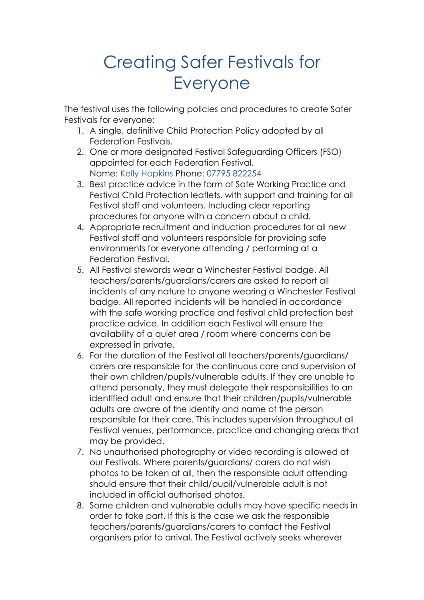# Creating Safer Festivals for Everyone

The festival uses the following policies and procedures to create Safer Festivals for everyone:

- 1. A single, definitive Child Protection Policy adopted by all Federation Festivals.
- 2. One or more designated Festival Safeguarding Officers (FSO) appointed for each Federation Festival. Name: Kelly Hopkins Phone: 07795 822254
- 3. Best practice advice in the form of Safe Working Practice and Festival Child Protection leaflets, with support and training for all Festival staff and volunteers. Including clear reporting procedures for anyone with a concern about a child.
- 4. Appropriate recruitment and induction procedures for all new Festival staff and volunteers responsible for providing safe environments for everyone attending / performing at a Federation Festival.
- 5. All Festival stewards wear a Winchester Festival badge. All teachers/parents/guardians/carers are asked to report all incidents of any nature to anyone wearing a Winchester Festival badge. All reported incidents will be handled in accordance with the safe working practice and festival child protection best practice advice. In addition each Festival will ensure the availability of a quiet area / room where concerns can be expressed in private.
- 6. For the duration of the Festival all teachers/parents/guardians/ carers are responsible for the continuous care and supervision of their own children/pupils/vulnerable adults. If they are unable to attend personally, they must delegate their responsibilities to an identified adult and ensure that their children/pupils/vulnerable adults are aware of the identity and name of the person responsible for their care. This includes supervision throughout all Festival venues, performance, practice and changing areas that may be provided.
- 7. No unauthorised photography or video recording is allowed at our Festivals. Where parents/guardians/ carers do not wish photos to be taken at all, then the responsible adult attending should ensure that their child/pupil/vulnerable adult is not included in official authorised photos.
- 8. Some children and vulnerable adults may have specific needs in order to take part. If this is the case we ask the responsible teachers/parents/guardians/carers to contact the Festival organisers prior to arrival. The Festival actively seeks wherever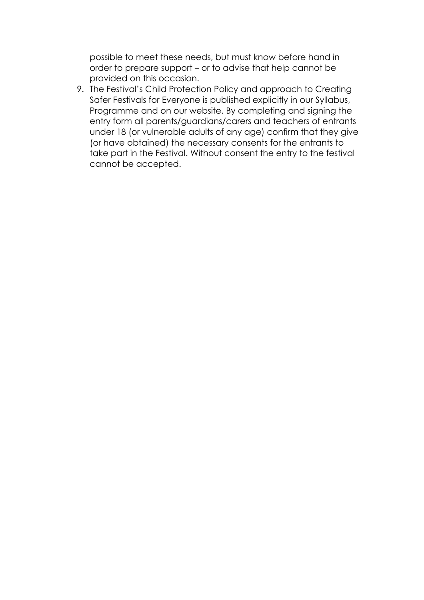possible to meet these needs, but must know before hand in order to prepare support – or to advise that help cannot be provided on this occasion.

9. The Festival's Child Protection Policy and approach to Creating Safer Festivals for Everyone is published explicitly in our Syllabus, Programme and on our website. By completing and signing the entry form all parents/guardians/carers and teachers of entrants under 18 (or vulnerable adults of any age) confirm that they give (or have obtained) the necessary consents for the entrants to take part in the Festival. Without consent the entry to the festival cannot be accepted.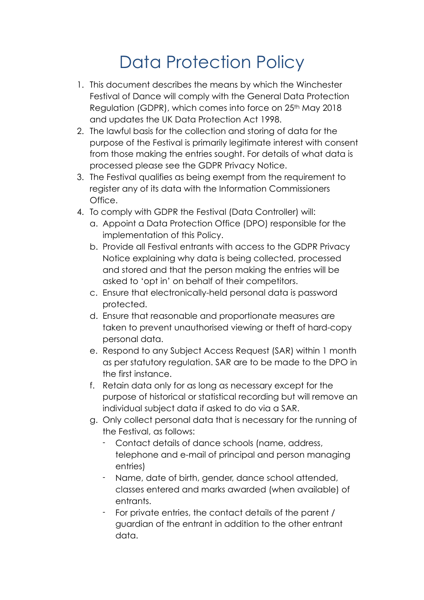# Data Protection Policy

- 1. This document describes the means by which the Winchester Festival of Dance will comply with the General Data Protection Regulation (GDPR), which comes into force on 25th May 2018 and updates the UK Data Protection Act 1998.
- 2. The lawful basis for the collection and storing of data for the purpose of the Festival is primarily legitimate interest with consent from those making the entries sought. For details of what data is processed please see the GDPR Privacy Notice.
- 3. The Festival qualifies as being exempt from the requirement to register any of its data with the Information Commissioners Office.
- 4. To comply with GDPR the Festival (Data Controller) will:
	- a. Appoint a Data Protection Office (DPO) responsible for the implementation of this Policy.
	- b. Provide all Festival entrants with access to the GDPR Privacy Notice explaining why data is being collected, processed and stored and that the person making the entries will be asked to 'opt in' on behalf of their competitors.
	- c. Ensure that electronically-held personal data is password protected.
	- d. Ensure that reasonable and proportionate measures are taken to prevent unauthorised viewing or theft of hard-copy personal data.
	- e. Respond to any Subject Access Request (SAR) within 1 month as per statutory regulation. SAR are to be made to the DPO in the first instance.
	- f. Retain data only for as long as necessary except for the purpose of historical or statistical recording but will remove an individual subject data if asked to do via a SAR.
	- g. Only collect personal data that is necessary for the running of the Festival, as follows:
		- Contact details of dance schools (name, address, telephone and e-mail of principal and person managing entries)
		- Name, date of birth, gender, dance school attended, classes entered and marks awarded (when available) of entrants.
		- For private entries, the contact details of the parent / guardian of the entrant in addition to the other entrant data.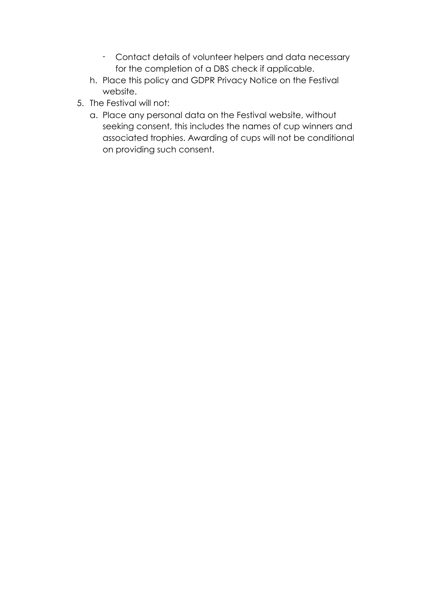- Contact details of volunteer helpers and data necessary for the completion of a DBS check if applicable.
- h. Place this policy and GDPR Privacy Notice on the Festival website.
- 5. The Festival will not:
	- a. Place any personal data on the Festival website, without seeking consent, this includes the names of cup winners and associated trophies. Awarding of cups will not be conditional on providing such consent.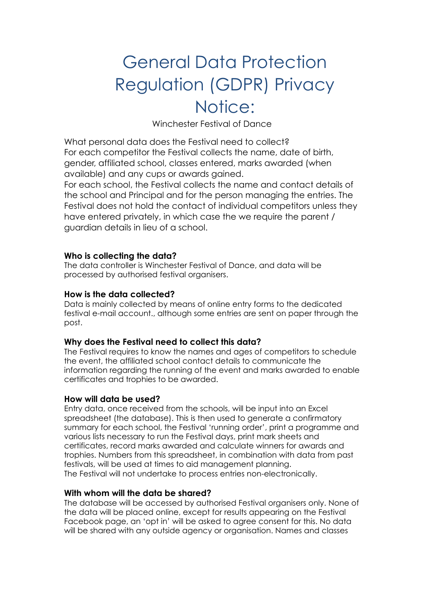# General Data Protection Regulation (GDPR) Privacy Notice:

Winchester Festival of Dance

What personal data does the Festival need to collect? For each competitor the Festival collects the name, date of birth, gender, affiliated school, classes entered, marks awarded (when available) and any cups or awards gained.

For each school, the Festival collects the name and contact details of the school and Principal and for the person managing the entries. The Festival does not hold the contact of individual competitors unless they have entered privately, in which case the we require the parent / guardian details in lieu of a school.

#### **Who is collecting the data?**

The data controller is Winchester Festival of Dance, and data will be processed by authorised festival organisers.

#### **How is the data collected?**

Data is mainly collected by means of online entry forms to the dedicated festival e-mail account., although some entries are sent on paper through the post.

#### **Why does the Festival need to collect this data?**

The Festival requires to know the names and ages of competitors to schedule the event, the affiliated school contact details to communicate the information regarding the running of the event and marks awarded to enable certificates and trophies to be awarded.

#### **How will data be used?**

Entry data, once received from the schools, will be input into an Excel spreadsheet (the database). This is then used to generate a confirmatory summary for each school, the Festival 'running order', print a programme and various lists necessary to run the Festival days, print mark sheets and certificates, record marks awarded and calculate winners for awards and trophies. Numbers from this spreadsheet, in combination with data from past festivals, will be used at times to aid management planning. The Festival will not undertake to process entries non-electronically.

#### **With whom will the data be shared?**

The database will be accessed by authorised Festival organisers only. None of the data will be placed online, except for results appearing on the Festival Facebook page, an 'opt in' will be asked to agree consent for this. No data will be shared with any outside agency or organisation. Names and classes